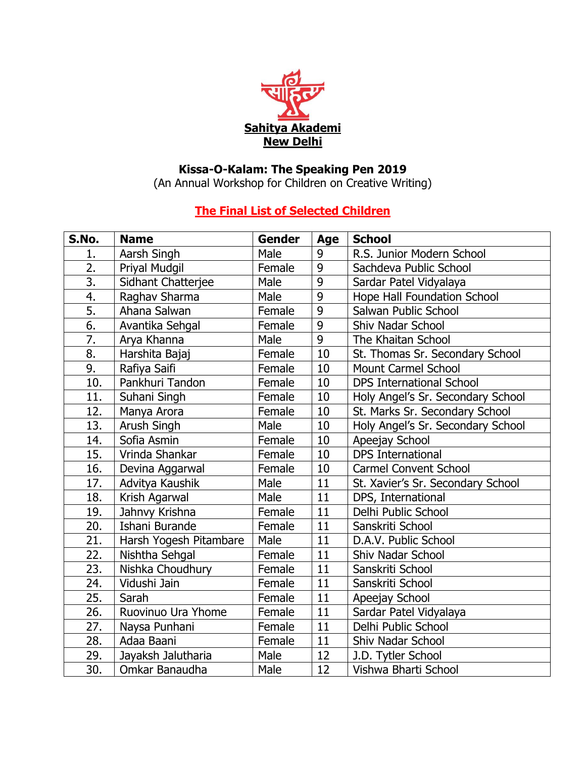

## **Kissa-O-Kalam: The Speaking Pen 2019**

(An Annual Workshop for Children on Creative Writing)

## **The Final List of Selected Children**

| S.No.            | <b>Name</b>            | <b>Gender</b> | <b>Age</b>     | <b>School</b>                      |
|------------------|------------------------|---------------|----------------|------------------------------------|
| 1.               | Aarsh Singh            | Male          | 9              | R.S. Junior Modern School          |
| 2.               | Priyal Mudgil          | Female        | 9              | Sachdeva Public School             |
| $\overline{3}$ . | Sidhant Chatterjee     | Male          | 9              | Sardar Patel Vidyalaya             |
| 4.               | Raghav Sharma          | Male          | $\overline{9}$ | <b>Hope Hall Foundation School</b> |
| 5.               | Ahana Salwan           | Female        | 9              | Salwan Public School               |
| 6.               | Avantika Sehgal        | Female        | 9              | Shiv Nadar School                  |
| $\overline{7}$ . | Arya Khanna            | Male          | 9              | The Khaitan School                 |
| 8.               | Harshita Bajaj         | Female        | 10             | St. Thomas Sr. Secondary School    |
| 9.               | Rafiya Saifi           | Female        | 10             | <b>Mount Carmel School</b>         |
| 10.              | Pankhuri Tandon        | Female        | 10             | <b>DPS International School</b>    |
| 11.              | Suhani Singh           | Female        | 10             | Holy Angel's Sr. Secondary School  |
| 12.              | Manya Arora            | Female        | 10             | St. Marks Sr. Secondary School     |
| 13.              | Arush Singh            | Male          | 10             | Holy Angel's Sr. Secondary School  |
| 14.              | Sofia Asmin            | Female        | 10             | Apeejay School                     |
| 15.              | Vrinda Shankar         | Female        | 10             | <b>DPS</b> International           |
| 16.              | Devina Aggarwal        | Female        | 10             | <b>Carmel Convent School</b>       |
| 17.              | Advitya Kaushik        | Male          | 11             | St. Xavier's Sr. Secondary School  |
| 18.              | Krish Agarwal          | Male          | 11             | DPS, International                 |
| 19.              | Jahnvy Krishna         | Female        | 11             | Delhi Public School                |
| 20.              | Ishani Burande         | Female        | 11             | Sanskriti School                   |
| 21.              | Harsh Yogesh Pitambare | Male          | 11             | D.A.V. Public School               |
| 22.              | Nishtha Sehgal         | Female        | 11             | Shiv Nadar School                  |
| 23.              | Nishka Choudhury       | Female        | 11             | Sanskriti School                   |
| 24.              | Vidushi Jain           | Female        | 11             | Sanskriti School                   |
| 25.              | Sarah                  | Female        | 11             | Apeejay School                     |
| 26.              | Ruovinuo Ura Yhome     | Female        | 11             | Sardar Patel Vidyalaya             |
| 27.              | Naysa Punhani          | Female        | 11             | Delhi Public School                |
| 28.              | Adaa Baani             | Female        | 11             | Shiv Nadar School                  |
| 29.              | Jayaksh Jalutharia     | Male          | 12             | J.D. Tytler School                 |
| 30.              | Omkar Banaudha         | Male          | 12             | Vishwa Bharti School               |